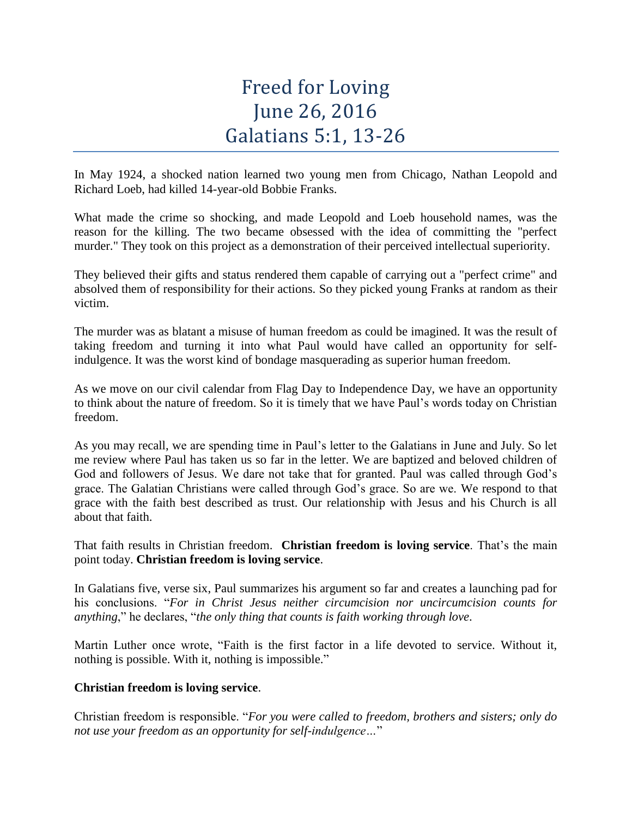# Freed for Loving June 26, 2016 Galatians 5:1, 13-26

In May 1924, a shocked nation learned two young men from Chicago, Nathan Leopold and Richard Loeb, had killed 14-year-old Bobbie Franks.

What made the crime so shocking, and made Leopold and Loeb household names, was the reason for the killing. The two became obsessed with the idea of committing the "perfect murder." They took on this project as a demonstration of their perceived intellectual superiority.

They believed their gifts and status rendered them capable of carrying out a "perfect crime" and absolved them of responsibility for their actions. So they picked young Franks at random as their victim.

The murder was as blatant a misuse of human freedom as could be imagined. It was the result of taking freedom and turning it into what Paul would have called an opportunity for selfindulgence. It was the worst kind of bondage masquerading as superior human freedom.

As we move on our civil calendar from Flag Day to Independence Day, we have an opportunity to think about the nature of freedom. So it is timely that we have Paul's words today on Christian freedom.

As you may recall, we are spending time in Paul's letter to the Galatians in June and July. So let me review where Paul has taken us so far in the letter. We are baptized and beloved children of God and followers of Jesus. We dare not take that for granted. Paul was called through God's grace. The Galatian Christians were called through God's grace. So are we. We respond to that grace with the faith best described as trust. Our relationship with Jesus and his Church is all about that faith.

That faith results in Christian freedom. **Christian freedom is loving service**. That's the main point today. **Christian freedom is loving service**.

In Galatians five, verse six, Paul summarizes his argument so far and creates a launching pad for his conclusions. "*For in Christ Jesus neither circumcision nor uncircumcision counts for anything*," he declares, "*the only thing that counts is faith working through love*.

Martin Luther once wrote, "Faith is the first factor in a life devoted to service. Without it, nothing is possible. With it, nothing is impossible."

# **Christian freedom is loving service**.

Christian freedom is responsible. "*For you were called to freedom, brothers and sisters; only do not use your freedom as an opportunity for self-indulgence…*"